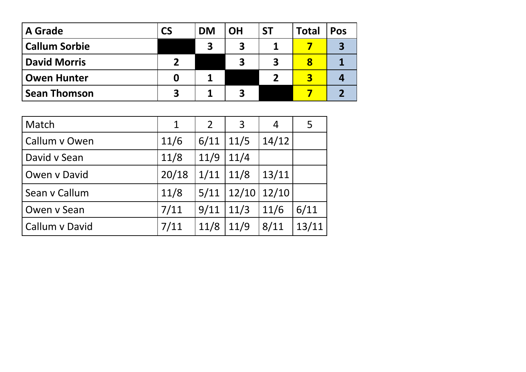| <b>A</b> Grade       | <b>CS</b> | <b>DM</b>               | <b>OH</b>    | <b>ST</b>               | <b>Total</b> | <b>Pos</b> |
|----------------------|-----------|-------------------------|--------------|-------------------------|--------------|------------|
| <b>Callum Sorbie</b> |           | $\overline{\mathbf{3}}$ |              |                         |              |            |
| <b>David Morris</b>  | ר         |                         | $\mathbf{z}$ | $\overline{\mathbf{3}}$ | 8            |            |
| <b>Owen Hunter</b>   |           |                         |              |                         |              |            |
| <b>Sean Thomson</b>  | 3         |                         |              |                         |              |            |

| Match          | $\mathbf 1$ | $\overline{2}$ | 3     | 4     | 5     |
|----------------|-------------|----------------|-------|-------|-------|
| Callum v Owen  | 11/6        | 6/11           | 11/5  | 14/12 |       |
| David v Sean   | 11/8        | 11/9           | 11/4  |       |       |
| Owen v David   | 20/18       | 1/11           | 11/8  | 13/11 |       |
| Sean v Callum  | 11/8        | 5/11           | 12/10 | 12/10 |       |
| Owen v Sean    | 7/11        | 9/11           | 11/3  | 11/6  | 6/11  |
| Callum v David | 7/11        | 11/8           | 11/9  | 8/11  | 13/11 |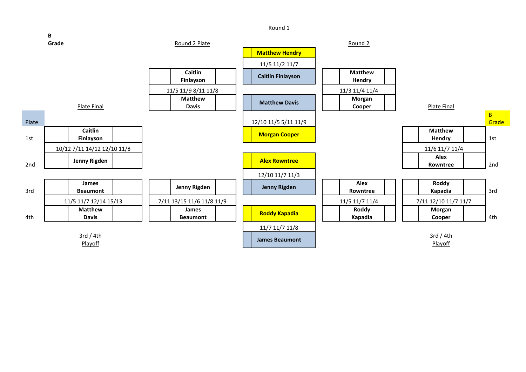